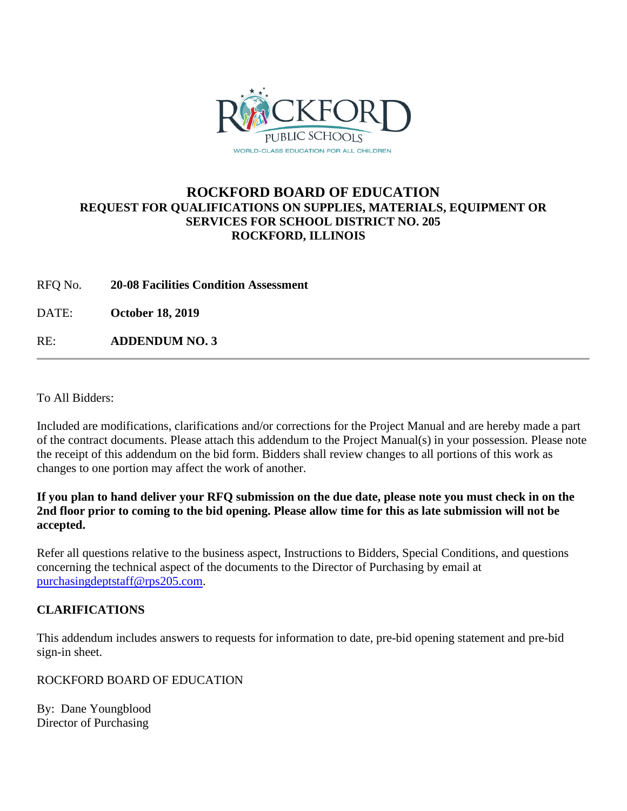

### **ROCKFORD BOARD OF EDUCATION REQUEST FOR QUALIFICATIONS ON SUPPLIES, MATERIALS, EQUIPMENT OR SERVICES FOR SCHOOL DISTRICT NO. 205 ROCKFORD, ILLINOIS**

RFQ No. **20-08 Facilities Condition Assessment**

DATE: **October 18, 2019**

RE: **ADDENDUM NO. 3**

To All Bidders:

Included are modifications, clarifications and/or corrections for the Project Manual and are hereby made a part of the contract documents. Please attach this addendum to the Project Manual(s) in your possession. Please note the receipt of this addendum on the bid form. Bidders shall review changes to all portions of this work as changes to one portion may affect the work of another.

### **If you plan to hand deliver your RFQ submission on the due date, please note you must check in on the 2nd floor prior to coming to the bid opening. Please allow time for this as late submission will not be accepted.**

Refer all questions relative to the business aspect, Instructions to Bidders, Special Conditions, and questions concerning the technical aspect of the documents to the Director of Purchasing by email at [purchasingdeptstaff@rps205.com.](mailto:purchasingdeptstaff@rps205.com)

### **CLARIFICATIONS**

This addendum includes answers to requests for information to date, pre-bid opening statement and pre-bid sign-in sheet.

### ROCKFORD BOARD OF EDUCATION

By: Dane Youngblood Director of Purchasing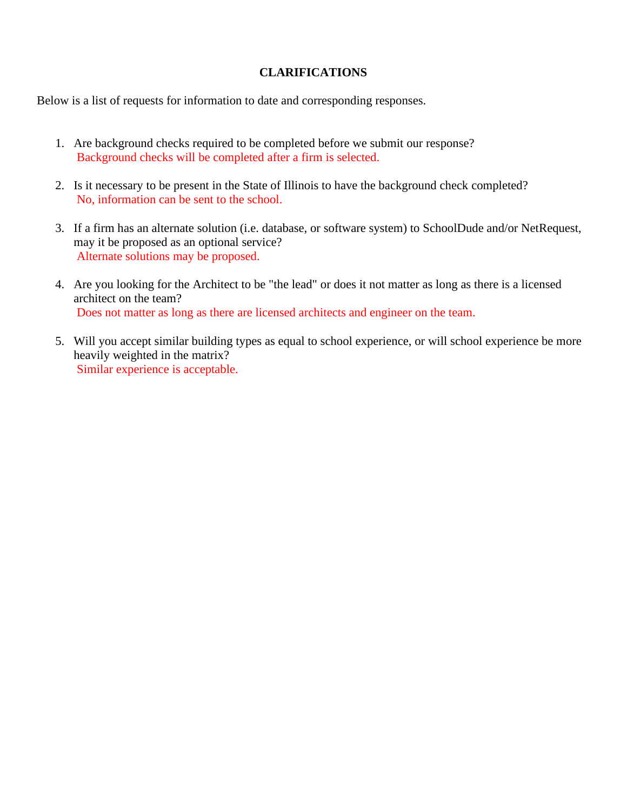### **CLARIFICATIONS**

Below is a list of requests for information to date and corresponding responses.

- 1. Are background checks required to be completed before we submit our response? Background checks will be completed after a firm is selected.
- 2. Is it necessary to be present in the State of Illinois to have the background check completed? No, information can be sent to the school.
- 3. If a firm has an alternate solution (i.e. database, or software system) to SchoolDude and/or NetRequest, may it be proposed as an optional service? Alternate solutions may be proposed.
- 4. Are you looking for the Architect to be "the lead" or does it not matter as long as there is a licensed architect on the team? Does not matter as long as there are licensed architects and engineer on the team.
- 5. Will you accept similar building types as equal to school experience, or will school experience be more heavily weighted in the matrix? Similar experience is acceptable.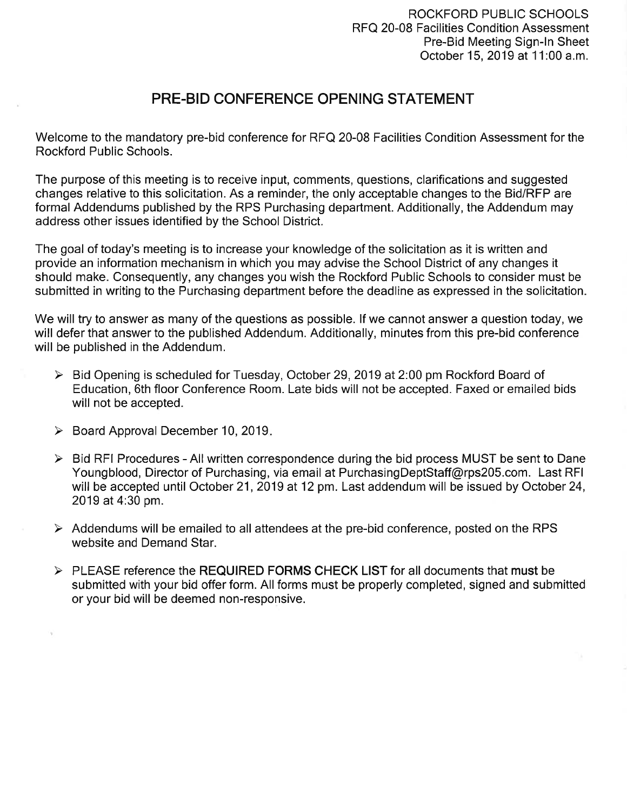### PRE-BID CONFERENCE OPENING STATEMENT

Welcome to the mandatory pre-bid conference for RFQ 20-08 Facilities Condition Assessment for the **Rockford Public Schools.** 

The purpose of this meeting is to receive input, comments, questions, clarifications and suggested changes relative to this solicitation. As a reminder, the only acceptable changes to the Bid/RFP are formal Addendums published by the RPS Purchasing department. Additionally, the Addendum may address other issues identified by the School District.

The goal of today's meeting is to increase your knowledge of the solicitation as it is written and provide an information mechanism in which you may advise the School District of any changes it should make. Consequently, any changes you wish the Rockford Public Schools to consider must be submitted in writing to the Purchasing department before the deadline as expressed in the solicitation.

We will try to answer as many of the questions as possible. If we cannot answer a question today, we will defer that answer to the published Addendum. Additionally, minutes from this pre-bid conference will be published in the Addendum.

- > Bid Opening is scheduled for Tuesday, October 29, 2019 at 2:00 pm Rockford Board of Education, 6th floor Conference Room. Late bids will not be accepted. Faxed or emailed bids will not be accepted.
- $\triangleright$  Board Approval December 10, 2019.
- $\triangleright$  Bid RFI Procedures All written correspondence during the bid process MUST be sent to Dane Youngblood, Director of Purchasing, via email at PurchasingDeptStaff@rps205.com. Last RFI will be accepted until October 21, 2019 at 12 pm. Last addendum will be issued by October 24, 2019 at 4:30 pm.
- $\triangleright$  Addendums will be emailed to all attendees at the pre-bid conference, posted on the RPS website and Demand Star.
- > PLEASE reference the REQUIRED FORMS CHECK LIST for all documents that must be submitted with your bid offer form. All forms must be properly completed, signed and submitted or your bid will be deemed non-responsive.